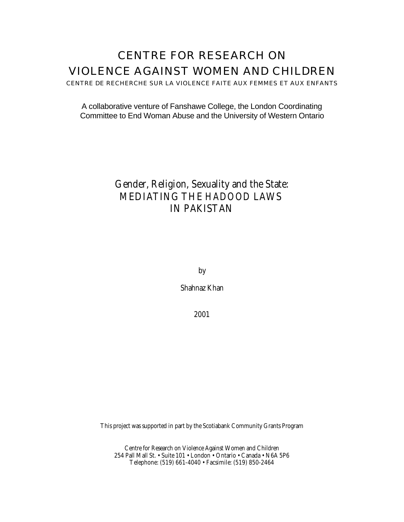# CENTRE FOR RESEARCH ON VIOLENCE AGAINST WOMEN AND CHILDREN

CENTRE DE RECHERCHE SUR LA VIOLENCE FAITE AUX FEMMES ET AUX ENFANTS

A collaborative venture of Fanshawe College, the London Coordinating Committee to End Woman Abuse and the University of Western Ontario

## **Gender, Religion, Sexuality and the State: MEDIATING THE** *HADOOD* **LAWS IN PAKISTAN**

by

Shahnaz Khan

2001

This project was supported in part by the Scotiabank Community Grants Program

Centre for Research on Violence Against Women and Children 254 Pall Mall St. • Suite 101 • London • Ontario • Canada • N6A 5P6 Telephone: (519) 661-4040 • Facsimile: (519) 850-2464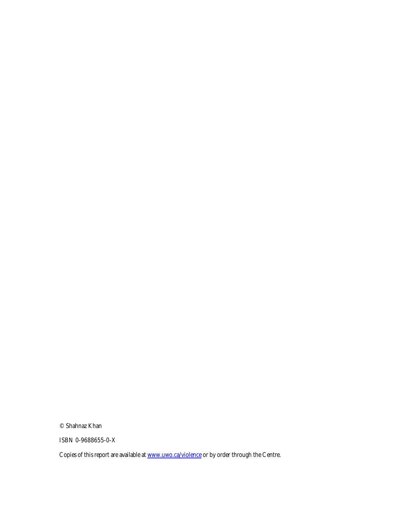© Shahnaz Khan

ISBN 0-9688655-0-X

Copies of this report are available at **www.uwo.ca/violence** or by order through the Centre.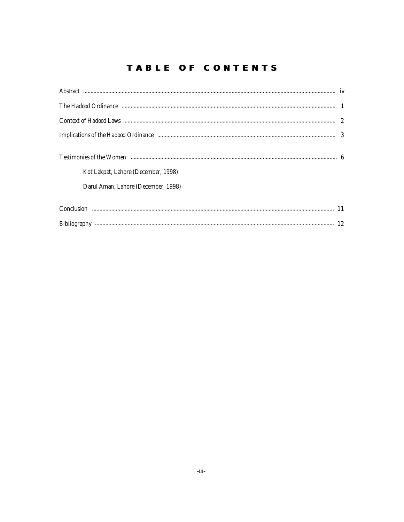## **TABLE OF CONTENTS**

| Kot Lakpat, Lahore (December, 1998)<br>Darul Aman, Lahore (December, 1998) |  |
|----------------------------------------------------------------------------|--|
|                                                                            |  |
|                                                                            |  |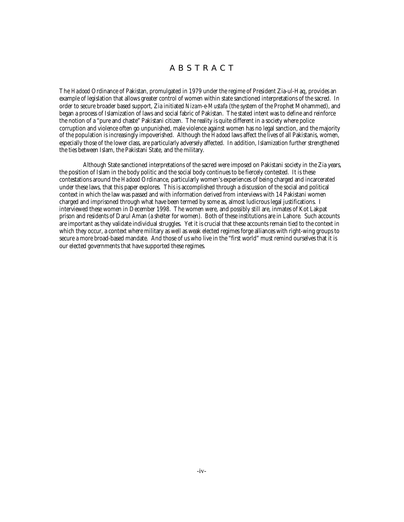## A B S T R A C T

The *Hadood* Ordinance of Pakistan, promulgated in 1979 under the regime of President Zia-ul-Haq, provides an example of legislation that allows greater control of women within state sanctioned interpretations of the sacred. In order to secure broader based support, Zia initiated *Nizam-e-Mustafa* (the system of the Prophet Mohammed), and began a process of Islamization of laws and social fabric of Pakistan. The stated intent was to define and reinforce the notion of a "pure and chaste" Pakistani citizen. The reality is quite different in a society where police corruption and violence often go unpunished, male violence against women has no legal sanction, and the majority of the population is increasingly impoverished. Although the *Hadood* laws affect the lives of all Pakistanis, women, especially those of the lower class, are particularly adversely affected. In addition, Islamization further strengthened the ties between Islam, the Pakistani State, and the military.

Although State sanctioned interpretations of the sacred were imposed on Pakistani society in the Zia years, the position of Islam in the body politic and the social body continues to be fiercely contested. It is these contestations around the *Hadood* Ordinance, particularly women's experiences of being charged and incarcerated under these laws, that this paper explores. This is accomplished through a discussion of the social and political context in which the law was passed and with information derived from interviews with 14 Pakistani women charged and imprisoned through what have been termed by some as, almost ludicrous legal justifications. I interviewed these women in December 1998. The women were, and possibly still are, inmates of Kot Lakpat prison and residents of Darul Aman (a shelter for women). Both of these institutions are in Lahore. Such accounts are important as they validate individual struggles. Yet it is crucial that these accounts remain tied to the context in which they occur, a context where military as well as weak elected regimes forge alliances with right-wing groups to secure a more broad-based mandate. And those of us who live in the "first world" must remind ourselves that it is our elected governments that have supported these regimes.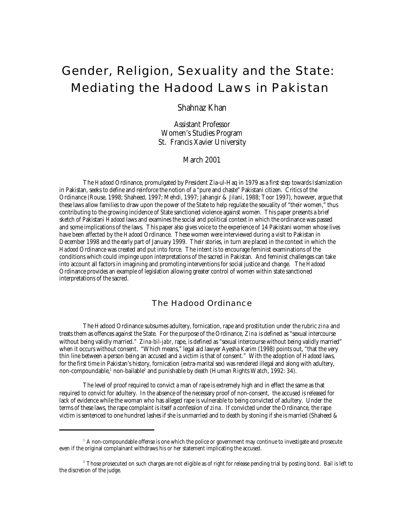# Gender, Religion, Sexuality and the State: Mediating the *Hadood* Laws in Pakistan

Shahnaz Khan

Assistant Professor Women's Studies Program St. Francis Xavier University

March 2001

The *Hadood* Ordinance, promulgated by President Zia-ul-Haq in 1979 as a first step towards Islamization in Pakistan, seeks to define and reinforce the notion of a "pure and chaste" Pakistani citizen. Critics of the Ordinance (Rouse, 1998; Shaheed, 1997; Mehdi, 1997; Jahangir & Jilani, 1988; Toor 1997), however, argue that these laws allow families to draw upon the power of the State to help regulate the sexuality of "their women," thus contributing to the growing incidence of State sanctioned violence against women. This paper presents a brief sketch of Pakistani *Hadood* laws and examines the social and political context in which the ordinance was passed and some implications of the laws. This paper also gives voice to the experience of 14 Pakistani women whose lives have been affected by the *Hadood* Ordinance. These women were interviewed during a visit to Pakistan in December 1998 and the early part of January 1999. Their stories, in turn are placed in the context in which the *Hadood* Ordinance was created and put into force. The intent is to encourage feminist examinations of the conditions which could impinge upon interpretations of the sacred in Pakistan. And feminist challenges can take into account all factors in imagining and promoting interventions for social justice and change. The *Hadood* Ordinance provides an example of legislation allowing greater control of women within state sanctioned interpretations of the sacred.

## The *Hadood* Ordinance

The Hadood Ordinance subsumes adultery, fornication, rape and prostitution under the rubric *zina* and treats them as offences against the State. For the purpose of the Ordinance, *Zina* is defined as "sexual intercourse without being validly married." *Zina-bil-jabr*, rape, is defined as "sexual intercourse without being validly married" when it occurs without consent. "Which means," legal aid lawyer Ayesha Karim (1998) points out, "that the very thin line between a person being an accused and a victim is that of consent." With the adoption of *Hadood* laws, for the first time in Pakistan's history, fornication (extra-marital sex) was rendered illegal and along with adultery, non-compoundable,' non-bailable<sup>2</sup> and punishable by death (Human Rights Watch, 1992: 34).

The level of proof required to convict a man of rape is extremely high and in effect the same as that required to convict for adultery. In the absence of the necessary proof of non-consent, the accused is released for lack of evidence while the woman who has alleged rape is vulnerable to being convicted of adultery. Under the terms of these laws, the rape complaint is itself a confession of *zina*. If convicted under the Ordinance, the rape victim is sentenced to one hundred lashes if she is unmarried and to death by stoning if she is married (Shaheed &

 $1$ <sup>1</sup> A non-compoundable offense is one which the police or government may continue to investigate and prosecute even if the original complainant withdraws his or her statement implicating the accused.

<sup>&</sup>lt;sup>2</sup> Those prosecuted on such charges are not eligible as of right for release pending trial by posting bond. Bail is left to the discretion of the judge.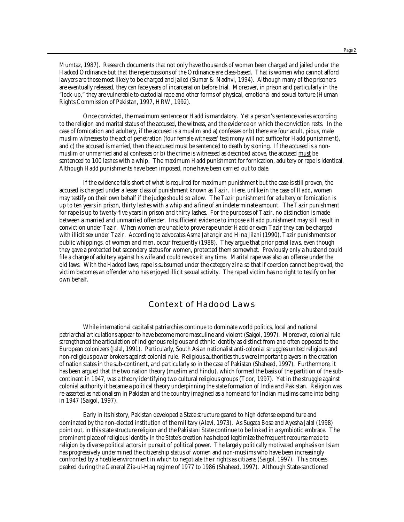Mumtaz, 1987). Research documents that not only have thousands of women been charged and jailed under the *Hadood* Ordinance but that the repercussions of the Ordinance are class-based. That is women who cannot afford lawyers are those most likely to be charged and jailed (Sumar & Nadhvi, 1994). Although many of the prisoners are eventually released, they can face years of incarceration before trial. Moreover, in prison and particularly in the "lock-up," they are vulnerable to custodial rape and other forms of physical, emotional and sexual torture (Human Rights Commission of Pakistan, 1997, HRW, 1992).

Once convicted, the maximum sentence or *Hadd* is mandatory. Yet a person's sentence varies according to the religion and marital status of the accused, the witness, and the evidence on which the conviction rests. In the case of fornication and adultery, if the accused is a muslim and a) confesses or b) there are four adult, pious, male muslim witnesses to the act of penetration (four female witnesses' testimony will not suffice for *Hadd* punishment), and c) the accused is married, then the accused must be sentenced to death by stoning. If the accused is a nonmuslim or unmarried and a) confesses or b) the crime is witnessed as described above, the accused must be sentenced to 100 lashes with a whip. The maximum *Hadd* punishment for fornication, adultery or rape is identical. Although *Hadd* punishments have been imposed, none have been carried out to date.

If the evidence falls short of what is required for maximum punishment but the case is still proven, the accused is charged under a lesser class of punishment known as *Tazir*. Here, unlike in the case of *Hadd*, women may testify on their own behalf if the judge should so allow. The *Tazir* punishment for adultery or fornication is up to ten years in prison, thirty lashes with a whip and a fine of an indeterminate amount. The *Tazir* punishment for rape is up to twenty-five years in prison and thirty lashes. For the purposes of *Tazir*, no distinction is made between a married and unmarried offender. Insufficient evidence to impose a *Hadd* punishment may still result in conviction under *Tazir*. When women are unable to prove rape under *Hadd* or even *Tazir* they can be charged with illicit sex under *Tazir*. According to advocates Asma Jahangir and Hina Jilani (1990), *Tazir* punishments or public whippings, of women and men, occur frequently (1988). They argue that prior penal laws, even though they gave a protected but secondary status for women, protected them somewhat. Previously only a husband could file a charge of adultery against his wife and could revoke it any time. Marital rape was also an offense under the old laws. With the *Hadood* laws, rape is subsumed under the category *zina* so that if coercion cannot be proved, the victim becomes an offender who has enjoyed illicit sexual activity. The raped victim has no right to testify on her own behalf.

## Context of *Hadood* Laws

While international capitalist patriarchies continue to dominate world politics, local and national patriarchal articulations appear to have become more masculine and violent (Saigol, 1997). Moreover, colonial rule strengthened the articulation of indigenous religious and ethnic identity as distinct from and often opposed to the European colonizers (Jalal, 1991). Particularly, South Asian nationalist anti-colonial struggles united religious and non-religious power brokers against colonial rule. Religious authorities thus were important players in the creation of nation states in the sub-continent, and particularly so in the case of Pakistan (Shaheed, 1997). Furthermore, it has been argued that the two nation theory (muslim and hindu), which formed the basis of the partition of the subcontinent in 1947, was a theory identifying two cultural religious groups (Toor, 1997). Yet in the struggle against colonial authority it became a political theory underpinning the state formation of India and Pakistan. Religion was re-asserted as nationalism in Pakistan and the country imagined as a homeland for Indian muslims came into being in 1947 (Saigol, 1997).

Early in its history, Pakistan developed a State structure geared to high defense expenditure and dominated by the non-elected institution of the military (Alavi, 1973). As Sugata Bose and Ayesha Jalal (1998) point out, in this state structure religion and the Pakistani State continue to be linked in a symbiotic embrace. The prominent place of religious identity in the State's creation has helped legitimize the frequent recourse made to religion by diverse political actors in pursuit of political power. The largely politically motivated emphasis on Islam has progressively undermined the citizenship status of women and non-muslims who have been increasingly confronted by a hostile environment in which to negotiate their rights as citizens (Saigol, 1997). This process peaked during the General Zia-ul-Haq regime of 1977 to 1986 (Shaheed, 1997). Although State-sanctioned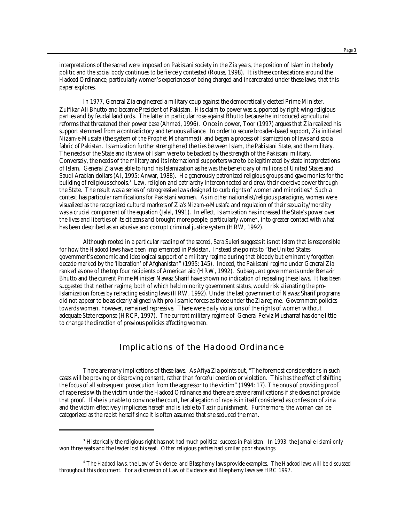interpretations of the sacred were imposed on Pakistani society in the Zia years, the position of Islam in the body politic and the social body continues to be fiercely contested (Rouse, 1998). It is these contestations around the *Hadood* Ordinance, particularly women's experiences of being charged and incarcerated under these laws, that this paper explores.

In 1977, General Zia engineered a military coup against the democratically elected Prime Minister, Zulfikar Ali Bhutto and became President of Pakistan. His claim to power was supported by right-wing religious parties and by feudal landlords. The latter in particular rose against Bhutto because he introduced agricultural reforms that threatened their power base (Ahmad, 1996). Once in power, Toor (1997) argues that Zia realized his support stemmed from a contradictory and tenuous alliance. In order to secure broader-based support, Zia initiated *Nizam-e-Mustafa* (the system of the Prophet Mohammed), and began a process of Islamization of laws and social fabric of Pakistan. Islamization further strengthened the ties between Islam, the Pakistani State, and the military. The needs of the State and its view of Islam were to be backed by the strength of the Pakistani military. Conversely, the needs of the military and its international supporters were to be legitimated by state interpretations of Islam. General Zia was able to fund his Islamization as he was the beneficiary of millions of United States and Saudi Arabian dollars (AI, 1995; Anwar, 1988). He generously patronized religious groups and gave monies for the building of religious schools. $^3\,$  Law, religion and patriarchy interconnected and drew their coercive power through the State. The result was a series of retrogressive laws designed to curb rights of women and minorities.4 Such a context has particular ramifications for Pakistani women. As in other nationalist/religious paradigms, women were visualized as the recognized cultural markers of Zia's *Nizam-e-Mustafa* and regulation of their sexuality/morality was a crucial component of the equation (Jalal, 1991). In effect, Islamization has increased the State's power over the lives and liberties of its citizens and brought more people, particularly women, into greater contact with what has been described as an abusive and corrupt criminal justice system (HRW, 1992).

Although rooted in a particular reading of the sacred, Sara Suleri suggests it is not Islam that is responsible for how the *Hadood* laws have been implemented in Pakistan. Instead she points to "the United States government's economic and ideological support of a military regime during that bloody but eminently forgotten decade marked by the 'liberation' of Afghanistan" (1995: 145). Indeed, the Pakistani regime under General Zia ranked as one of the top four recipients of American aid (HRW, 1992). Subsequent governments under Benazir Bhutto and the current Prime Minister Nawaz Sharif have shown no indication of repealing these laws. It has been suggested that neither regime, both of which held minority government status, would risk alienating the pro-Islamization forces by retracting existing laws (HRW, 1992). Under the last government of Nawaz Sharif programs did not appear to be as clearly aligned with pro-Islamic forces as those under the Zia regime. Government policies towards women, however, remained repressive. There were daily violations of the rights of women without adequate State response (HRCP, 1997). The current military regime of General Perviz Musharraf has done little to change the direction of previous policies affecting women.

## Implications of the *Hadood* Ordinance

There are many implications of these laws. As Afiya Zia points out, "The foremost considerations in such cases will be proving or disproving consent, rather than forceful coercion or violation. This has the effect of shifting the focus of all subsequent prosecution from the aggressor to the victim" (1994: 17). The onus of providing proof of rape rests with the victim under the *Hadood* Ordinance and there are severe ramifications if she does not provide that proof. If she is unable to convince the court, her allegation of rape is in itself considered as confession of *zina* and the victim effectively implicates herself and is liable to *Tazir* punishment. Furthermore, the woman can be categorized as the rapist herself since it is often assumed that she seduced the man.

<sup>&</sup>lt;sup>3</sup> Historically the religious right has not had much political success in Pakistan. In 1993, the Jamal-e-Islami only won three seats and the leader lost his seat. Other religious parties had similar poor showings.

<sup>4</sup> The *Hadood* laws, the Law of Evidence, and Blasphemy laws provide examples. The *Hadood* laws will be discussed throughout this document. For a discussion of Law of Evidence and Blasphemy laws see HRC 1997.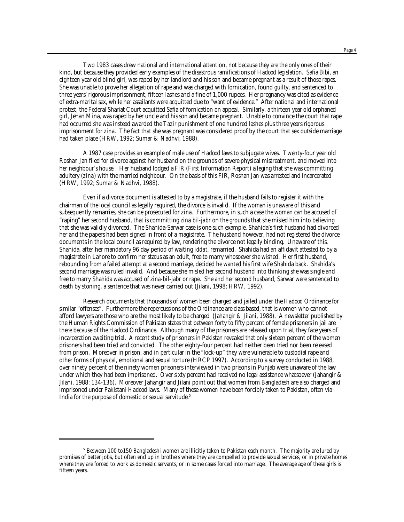Two 1983 cases drew national and international attention, not because they are the only ones of their kind, but because they provided early examples of the disastrous ramifications of *Hadood* legislation. Safia Bibi, an eighteen year old blind girl, was raped by her landlord and his son and became pregnant as a result of those rapes. She was unable to prove her allegation of rape and was charged with fornication, found guilty, and sentenced to three years' rigorous imprisonment, fifteen lashes and a fine of 1,000 rupees. Her pregnancy was cited as evidence of extra-marital sex, while her assailants were acquitted due to "want of evidence." After national and international protest, the Federal Shariat Court acquitted Safia of fornication on appeal. Similarly, a thirteen year old orphaned girl, Jehan Mina, was raped by her uncle and his son and became pregnant. Unable to convince the court that rape had occurred she was instead awarded the *Tazir* punishment of one hundred lashes plus three years rigorous imprisonment for *zina*. The fact that she was pregnant was considered proof by the court that sex outside marriage had taken place (HRW, 1992; Sumar & Nadhvi, 1988).

A 1987 case provides an example of male use of *Hadood* laws to subjugate wives. Twenty-four year old Roshan Jan filed for divorce against her husband on the grounds of severe physical mistreatment, and moved into her neighbour's house. Her husband lodged a FIR (First Information Report) alleging that she was committing adultery (*zina*) with the married neighbour. On the basis of this FIR, Roshan Jan was arrested and incarcerated (HRW, 1992; Sumar & Nadhvi, 1988).

Even if a divorce document is attested to by a magistrate, if the husband fails to register it with the chairman of the local council as legally required, the divorce is invalid. If the woman is unaware of this and subsequently remarries, she can be prosecuted for *zina*. Furthermore, in such a case the woman can be accused of "raping" her second husband, that is committing *zina bil-jabr* on the grounds that she misled him into believing that she was validly divorced. The Shahida-Sarwar case is one such example. Shahida's first husband had divorced her and the papers had been signed in front of a magistrate. The husband however, had not registered the divorce documents in the local council as required by law, rendering the divorce not legally binding. Unaware of this, Shahida, after her mandatory 96 day period of waiting *iddat*, remarried. Shahida had an affidavit attested to by a magistrate in Lahore to confirm her status as an adult, free to marry whosoever she wished. Her first husband, rebounding from a failed attempt at a second marriage, decided he wanted his first wife Shahida back. Shahida's second marriage was ruled invalid. And because she misled her second husband into thinking she was single and free to marry Shahida was accused of *zina-bil-jabr* or rape. She and her second husband, Sarwar were sentenced to death by stoning, a sentence that was never carried out (Jilani, 1998; HRW, 1992).

Research documents that thousands of women been charged and jailed under the *Hadood* Ordinance for similar "offenses". Furthermore the repercussions of the Ordinance are class based, that is women who cannot afford lawyers are those who are the most likely to be charged (Jahangir & Jilani, 1988). A newsletter published by the Human Rights Commission of Pakistan states that between forty to fifty percent of female prisoners in jail are there because of the *Hadood* Ordinance. Although many of the prisoners are released upon trial, they face years of incarceration awaiting trial. A recent study of prisoners in Pakistan revealed that only sixteen percent of the women prisoners had been tried and convicted. The other eighty-four percent had neither been tried nor been released from prison. Moreover in prison, and in particular in the "lock-up" they were vulnerable to custodial rape and other forms of physical, emotional and sexual torture (HRCP 1997). According to a survey conducted in 1988, over ninety percent of the ninety women prisoners interviewed in two prisons in Punjab were unaware of the law under which they had been imprisoned. Over sixty percent had received no legal assistance whatsoever (Jahangir & Jilani, 1988: 134-136). Moreover Jahangir and Jilani point out that women from Bangladesh are also charged and imprisoned under Pakistani *Hadood* laws. Many of these women have been forcibly taken to Pakistan, often via India for the purpose of domestic or sexual servitude.<sup>5</sup>

 $5$  Between 100 to150 Bangladeshi women are illicitly taken to Pakistan each month. The majority are lured by promises of better jobs, but often end up in brothels where they are compelled to provide sexual services, or in private homes where they are forced to work as domestic servants, or in some cases forced into marriage. The average age of these girls is fifteen years.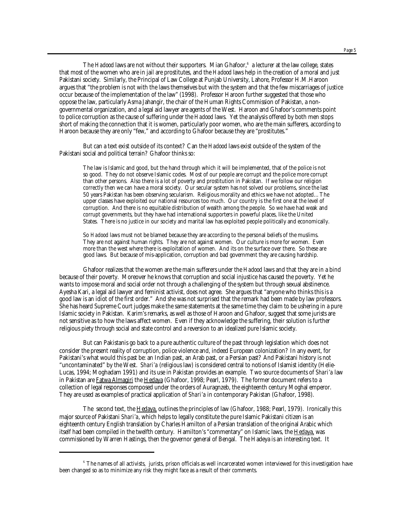The *Hadood* laws are not without their supporters. Mian Ghafoor,<sup>6</sup> a lecturer at the law college, states that most of the women who are in jail are prostitutes, and the *Hadood* laws help in the creation of a moral and just Pakistani society. Similarly, the Principal of Law College at Punjab University, Lahore, Professor H.M.Haroon argues that "the problem is not with the laws themselves but with the system and that the few miscarriages of justice occur because of the implementation of the law" (1998). Professor Haroon further suggested that those who oppose the law, particularly Asma Jahangir, the chair of the Human Rights Commission of Pakistan, a nongovernmental organization, and a legal aid lawyer are agents of the West. Haroon and Ghafoor's comments point to police corruption as the cause of suffering under the *Hadood* laws. Yet the analysis offered by both men stops short of making the connection that it is women, particularly poor women, who are the main sufferers, according to Haroon because they are only "few," and according to Ghafoor because they are "prostitutes."

But can a text exist outside of its context? Can the *Hadood* laws exist outside of the system of the Pakistani social and political terrain? Ghafoor thinks so:

The law is Islamic and good, but the hand through which it will be implemented, that of the police is not so good. They do not observe Islamic codes. Most of our people are corrupt and the police more corrupt than other persons. Also there is a lot of poverty and prostitution in Pakistan. If we follow our religion correctly then we can have a moral society. Our secular system has not solved our problems, since the last 50 years Pakistan has been observing secularism. Religious morality and ethics we have not adopted…The upper classes have exploited our national resources too much. Our country is the first one at the level of corruption. And there is no equitable distribution of wealth among the people. So we have had weak and corrupt governments, but they have had international supporters in powerful places, like the United States. There is no justice in our society and marital law has exploited people politically and economically.

So *Hadood* laws must not be blamed because they are according to the personal beliefs of the muslims. They are not against human rights. They are not against women. Our culture is more for women. Even more than the west where there is exploitation of women. And its on the surface over there. So these are good laws. But because of mis-application, corruption and bad government they are causing hardship.

Ghafoor realizes that the women are the main sufferers under the *Hadood* laws and that they are in a bind because of their poverty. Moreover he knows that corruption and social injustice has caused the poverty. Yet he wants to impose moral and social order not through a challenging of the system but through sexual abstinence. Ayesha Kari, a legal aid lawyer and feminist activist, does not agree. She argues that "anyone who thinks this is a good law is an idiot of the first order." And she was not surprised that the remark had been made by law professors. She has heard Supreme Court judges make the same statements at the same time they claim to be ushering in a pure Islamic society in Pakistan. Karim's remarks, as well as those of Haroon and Ghafoor, suggest that some jurists are not sensitive as to how the laws affect women. Even if they acknowledge the suffering, their solution is further religious piety through social and state control and a reversion to an idealized pure Islamic society.

But can Pakistanis go back to a pure authentic culture of the past through legislation which does not consider the present reality of corruption, police violence and, indeed European colonization? In any event, for Pakistani's what would this past be: an Indian past, an Arab past, or a Persian past? And Pakistani history is not "uncontaminated" by the West. *Shari'a* (religious law) is considered central to notions of Islamist identity (Helie-Lucas, 1994; Moghadam 1991) and its use in Pakistan provides an example. Two source documents of *Shari'a* law in Pakistan are *Fatwa Almagiri* the Hedaya (Ghafoor, 1998; Pearl, 1979). The former document refers to a collection of legal responses composed under the orders of Auragnzeb, the eighteenth century Moghal emperor. They are used as examples of practical application of *Shari'a* in contemporary Pakistan (Ghafoor, 1998).

The second text, the Hedaya, outlines the principles of law (Ghafoor, 1988; Pearl, 1979). Ironically this major source of Pakistani *Shari'a*, which helps to legally constitute the pure Islamic Pakistani citizen is an eighteenth century English translation by Charles Hamilton of a Persian translation of the original Arabic which itself had been compiled in the twelfth century. Hamilton's "commentary" on Islamic laws, the Hedaya, was commissioned by Warren Hastings, then the governor general of Bengal. The Hadeya is an interesting text. It

<sup>6</sup> The names of all activists, jurists, prison officials as well incarcerated women interviewed for this investigation have been changed so as to minimize any risk they might face as a result of their comments.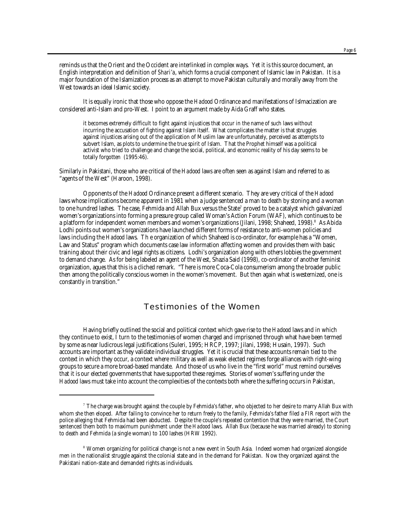reminds us that the Orient and the Occident are interlinked in complex ways. Yet it is this source document, an English interpretation and definition of *Shari'a*, which forms a crucial component of Islamic law in Pakistan. It is a major foundation of the Islamization process as an attempt to move Pakistan culturally and morally away from the West towards an ideal Islamic society.

It is equally ironic that those who oppose the *Hadood* Ordinance and manifestations of Islmacization are considered anti-Islam and pro-West. I point to an argument made by Aida Graff who states.

it becomes extremely difficult to fight against injustices that occur in the name of such laws without incurring the accusation of fighting against Islam itself. What complicates the matter is that struggles against injustices arising out of the application of Muslim law are unfortunately, perceived as attempts to subvert Islam, as plots to undermine the true spirit of Islam. That the Prophet himself was a political activist who tried to challenge and change the social, political, and economic reality of his day seems to be totally forgotten (1995:46).

Similarly in Pakistani, those who are critical of the *Hadood* laws are often seen as against Islam and referred to as "agents of the West" (Haroon, 1998).

Opponents of the *Hadood* Ordinance present a different scenario. They are very critical of the *Hadood* laws whose implications become apparent in 1981 when a judge sentenced a man to death by stoning and a woman to one hundred lashes. The case, Fehmida and Allah Bux versus the State $^7$  proved to be a catalyst which galvanized women's organizations into forming a pressure group called Woman's Action Forum (WAF), which continues to be a platform for independent women members and women's organizations (Jilani, 1998; Shaheed, 1998). $^{\rm 8}$  As Abida Lodhi points out women's organizations have launched different forms of resistance to anti-women policies and laws including the *Hadood* laws. Th e organization of which Shaheed is co-ordinator, for example has a "Women, Law and Status" program which documents case law information affecting women and provides them with basic training about their civic and legal rights as citizens. Lodhi's organization along with others lobbies the government to demand change. As for being labeled an agent of the West, Shazia Said (1998), co-ordinator of another feminist organization, agues that this is a cliched remark. "There is more Coca-Cola consumerism among the broader public then among the politically conscious women in the women's movement. But then again what is westernized, one is constantly in transition."

## Testimonies of the Women

Having briefly outlined the social and political context which gave rise to the *Hadood* laws and in which they continue to exist, I turn to the testimonies of women charged and imprisoned through what have been termed by some as near ludicrous legal justifications (Suleri, 1995; HRCP, 1997; Jilani, 1998; Husain, 1997). Such accounts are important as they validate individual struggles. Yet it is crucial that these accounts remain tied to the context in which they occur, a context where military as well as weak elected regimes forge alliances with right-wing groups to secure a more broad-based mandate. And those of us who live in the "first world" must remind ourselves that it is our elected governments that have supported these regimes. Stories of women's suffering under the *Hadood* laws must take into account the complexities of the contexts both where the suffering occurs in Pakistan,

 $^7$  The charge was brought against the couple by Fehmida's father, who objected to her desire to marry Allah Bux with whom she then eloped. After failing to convince her to return freely to the family, Fehmida's father filed a FIR report with the police alleging that Fehmida had been abducted. Despite the couple's repeated contention that they were married, the Court sentenced them both to maximum punishment under the *Hadood* laws. Allah Bux (because he was married already) to stoning to death and Fehmida (a single woman) to 100 lashes (HRW 1992).

<sup>&</sup>lt;sup>8</sup> Women organizing for political change is not a new event in South Asia. Indeed women had organized alongside men in the nationalist struggle against the colonial state and in the demand for Pakistan. Now they organized against the Pakistani nation-state and demanded rights as individuals.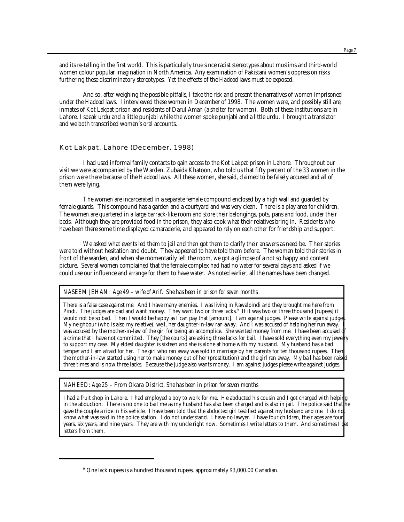and its re-telling in the first world. This is particularly true since racist stereotypes about muslims and third-world women colour popular imagination in North America. Any examination of Pakistani women's oppression risks furthering these discriminatory stereotypes. Yet the effects of the *Hadood* laws must be exposed.

And so, after weighing the possible pitfalls, I take the risk and present the narratives of women imprisoned under the *Hadood* laws. I interviewed these women in December of 1998. The women were, and possibly still are, inmates of Kot Lakpat prison and residents of Darul Aman (a shelter for women). Both of these institutions are in Lahore. I speak urdu and a little punjabi while the women spoke punjabi and a little urdu. I brought a translator and we both transcribed women's oral accounts.

#### Kot Lakpat, Lahore (December, 1998)

I had used informal family contacts to gain access to the Kot Lakpat prison in Lahore. Throughout our visit we were accompanied by the Warden, Zubaida Khatoon, who told us that fifty percent of the 33 women in the prison were there because of the *Hadood* laws. All these women, she said, claimed to be falsely accused and all of them were lying.

The women are incarcerated in a separate female compound enclosed by a high wall and guarded by female guards. This compound has a garden and a courtyard and was very clean. There is a play area for children. The women are quartered in a large barrack-like room and store their belongings, pots, pans and food, under their beds. Although they are provided food in the prison, they also cook what their relatives bring in. Residents who have been there some time displayed camaraderie, and appeared to rely on each other for friendship and support.

We asked what events led them to jail and then got them to clarify their answers as need be. Their stories were told without hesitation and doubt. They appeared to have told them before. The women told their stories in front of the warden, and when she momentarily left the room, we got a glimpse of a not so happy and content picture. Several women complained that the female complex had had no water for several days and asked if we could use our influence and arrange for them to have water. As noted earlier, all the names have been changed.

### *NASEEM JEHAN: Age 49 – wife of Arif. She has been in prison for seven months*

There is a false case against me. And I have many enemies. I was living in Rawalpindi and they brought me here from Pindi. The judges are bad and want money. They want two or three lacks.<sup>9</sup> If it was two or three thousand [rupees] it would not be so bad. Then I would be happy as I can pay that [amount]. I am against judges. Please write against judges. My neighbour (who is also my relative), well, her daughter-in-law ran away. And I was accused of helping her run away. I was accused by the mother-in-law of the girl for being an accomplice. She wanted money from me. I have been accused a crime that I have not committed. They [the courts] are asking three lacks for bail. I have sold everything even my jewelry to support my case. My eldest daughter is sixteen and she is alone at home with my husband. My husband has a bad temper and I am afraid for her. The girl who ran away was sold in marriage by her parents for ten thousand rupees. Then the mother-in-law started using her to make money out of her (prostitution) and the girl ran away. My bail has been raised three times and is now three lacks. Because the judge also wants money. I am against judges please write against judges.

*NAHEED: Age 25 – From Okara District, She has been in prison for seven months*

I had a fruit shop in Lahore. I had employed a boy to work for me. He abducted his cousin and I got charged with helping in the abduction. There is no one to bail me as my husband has also been charged and is also in jail. The police said that he gave the couple a ride in his vehicle. I have been told that the abducted girl testified against my husband and me. I do no know what was said in the police station. I do not understand. I have no lawyer. I have four children, their ages are four years, six years, and nine years. They are with my uncle right now. Sometimes I write letters to them. And sometimes I get letters from them.

<sup>9</sup> One lack rupees is a hundred thousand rupees, approximately \$3,000.00 Canadian.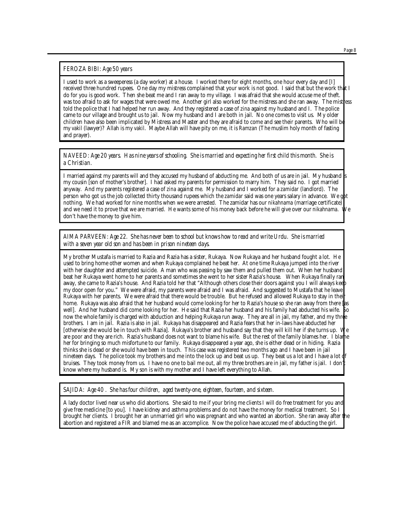#### *FEROZA BIBI: Age 50 years*

I used to work as a sweeperess (a day worker) at a house. I worked there for eight months, one hour every day and [I] received three hundred rupees. One day my mistress complained that your work is not good. I said that but the work that I do for you is good work. Then she beat me and I ran away to my village. I was afraid that she would accuse me of theft. I was too afraid to ask for wages that were owed me. Another girl also worked for the mistress and she ran away. The mistress told the police that I had helped her run away. And they registered a case of *zina* against my husband and I. The police came to our village and brought us to jail. Now my husband and I are both in jail. No one comes to visit us. My older children have also been implicated by Mistress and Master and they are afraid to come and see their parents. Who will be my *vakil* (lawyer)? Allah is my *vakil*. Maybe Allah will have pity on me, it is *Ramzan* (The muslim holy month of fasting and prayer).

*NAVEED: Age 20 years. Has nine years of schooling. She is married and expecting her first child this month. She is a Christian.*

I married against my parents will and they accused my husband of abducting me. And both of us are in jail. My husband my cousin [son of mother's brother]. I had asked my parents for permission to marry him. They said no. I got married anyway. And my parents registered a case of *zina* against me. My husband and I worked for a *zamidar* (landlord). The person who got us the job collected thirty thousand rupees which the *zamidar* said was one years salary in advance. We got nothing. We had worked for nine months when we were arrested. The zamidar has our *nikahnama* (marriage certificate) and we need it to prove that we are married. He wants some of his money back before he will give over our *nikahnama*. We don't have the money to give him.

*AIMA PARVEEN: Age 22. She has never been to school but knows how to read and write Urdu. She is married with a seven year old son and has been in prison nineteen days.*

My brother Mustafa is married to Razia and Razia has a sister, Rukaya. Now Rukaya and her husband fought a lot. He used to bring home other women and when Rukaya complained he beat her. At one time Rukaya jumped into the river with her daughter and attempted suicide. A man who was passing by saw them and pulled them out. When her husband beat her Rukaya went home to her parents and sometimes she went to her sister Razia's house. When Rukaya finally ran away, she came to Razia's house. And Razia told her that "Although others close their doors against you I will always keep my door open for you." We were afraid, my parents were afraid and I was afraid. And suggested to Mustafa that he leave Rukaya with her parents. We were afraid that there would be trouble. But he refused and allowed Rukaya to stay in their home. Rukaya was also afraid that her husband would come looking for her to Razia's house so she ran away from there las well]. And her husband did come looking for her. He said that Razia her husband and his family had abducted his wife. now the whole family is charged with abduction and helping Rukaya run away. They are all in jail, my father, and my three brothers. I am in jail. Razia is also in jail. Rukaya has disappeared and Razia fears that her in-laws have abducted her [otherwise she would be in touch with Razia]. Rukaya's brother and husband say that they will kill her if she turns up. We are poor and they are rich. Razia's husband does not want to blame his wife. But the rest of the family blames her. I blame her for bringing so much misfortune to our family. Rukaya disappeared a year ago, she is either dead or in hiding. Razia thinks she is dead or she would have been in touch. This case was registered two months ago and I have been in jail nineteen days. The police took my brothers and me into the lock up and beat us up. They beat us a lot and I have a lot of bruises. They took money from us. I have no one to bail me out, all my three brothers are in jail, my father is jail. I don't know where my husband is. My son is with my mother and I have left everything to Allah.

*SAJIDA: Age 40 . She has four children, aged twenty-one, eighteen, fourteen, and sixteen.* 

A lady doctor lived near us who did abortions. She said to me if your bring me clients I will do free treatment for you and give free medicine [to you]. I have kidney and asthma problems and do not have the money for medical treatment. So I brought her clients. I brought her an unmarried girl who was pregnant and who wanted an abortion. She ran away after the abortion and registered a FIR and blamed me as an accomplice. Now the police have accused me of abducting the girl.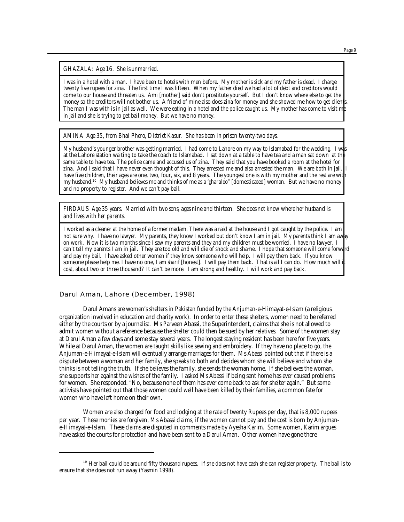*GHAZALA: Age 16. She is unmarried.* 

I was in a hotel with a man. I have been to hotels with men before. My mother is sick and my father is dead. I charge twenty five rupees for *zina.* The first time I was fifteen. When my father died we had a lot of debt and creditors would come to our house and threaten us. Ami [mother] said don't prostitute yourself. But I don't know where else to get the money so the creditors will not bother us. A friend of mine also does *zina* for money and she showed me how to get clients. The man I was with is in jail as well. We were eating in a hotel and the police caught us. My mother has come to visit me in jail and she is trying to get bail money. But we have no money.

*AMINA Age 35, from Bhai Phero, District Kasur. She has been in prison twenty-two days.*

My husband's younger brother was getting married. I had come to Lahore on my way to Islamabad for the wedding. I was at the Lahore station waiting to take the coach to Islamabad. I sat down at a table to have tea and a man sat down at the same table to have tea. The police came and accused us of *zina*. They said that you have booked a room at the hotel for *zina*. And I said that I have never even thought of this. They arrested me and also arrested the man. We are both in jail. I have five children, their ages are one, two, four, six, and 8 years. The youngest one is with my mother and the rest are with my husband.<sup>10</sup> My husband believes me and thinks of me as a '*gharaloo*" [domesticated] woman. But we have no money and no property to register. And we can't pay bail.

*FIRDAUS Age 35 years. Married with two sons, ages nine and thirteen. She does not know where her husband is and lives with her parents.* 

I worked as a cleaner at the home of a former madam. There was a raid at the house and I got caught by the police. I am not sure why. I have no lawyer. My parents, they know I worked but don't know I am in jail. My parents think I am away on work. Now it is two months since I saw my parents and they and my children must be worried. I have no lawyer. I can't tell my parents I am in jail. They are too old and will die of shock and shame. I hope that someone will come forward and pay my bail. I have asked other women if they know someone who will help. I will pay them back. If you know someone please help me. I have no one, I am *sharif* [honest]. I will pay them back. That is all I can do. How much will i cost, about two or three thousand? It can't be more. I am strong and healthy. I will work and pay back.

Darul Aman, Lahore (December, 1998)

Darul Amans are women's shelters in Pakistan funded by the Anjuman-e-Himayat-e-Islam (a religious organization involved in education and charity work). In order to enter these shelters, women need to be referred either by the courts or by a journalist. Ms Parveen Abassi, the Superintendent, claims that she is not allowed to admit women without a reference because the shelter could then be sued by her relatives. Some of the women stay at Darul Aman a few days and some stay several years. The longest staying resident has been here for five years. While at Darul Aman, the women are taught skills like sewing and embroidery. If they have no place to go, the Anjuman-e-Himayat-e-Islam will eventually arrange marriages for them. Ms Abassi pointed out that if there is a dispute between a woman and her family, she speaks to both and decides whom she will believe and whom she thinks is not telling the truth. If she believes the family, she sends the woman home. If she believes the woman, she supports her against the wishes of the family. I asked Ms Abassi if being sent home has ever caused problems for women. She responded. "No, because none of them has ever come back to ask for shelter again." But some activists have pointed out that those women could well have been killed by their families, a common fate for women who have left home on their own.

Women are also charged for food and lodging at the rate of twenty Rupees per day, that is 8,000 rupees per year. These monies are forgiven, Ms Abassi claims, if the women cannot pay and the cost is born by Anjumane-Himayat-e-Islam. These claims are disputed in comments made by Ayesha Karim. Some women, Karim argues have asked the courts for protection and have been sent to a Darul Aman. Other women have gone there

<sup>&</sup>lt;sup>10</sup> Her bail could be around fifty thousand rupees. If she does not have cash she can register property. The bail is to ensure that she does not run away (Yasmin 1998).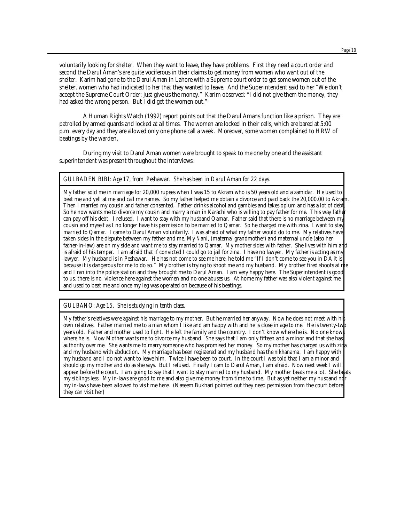voluntarily looking for shelter. When they want to leave, they have problems. First they need a court order and second the Darul Aman's are quite vociferous in their claims to get money from women who want out of the shelter. Karim had gone to the Darul Aman in Lahore with a Supreme court order to get some women out of the shelter, women who had indicated to her that they wanted to leave. And the Superintendent said to her "We don't accept the Supreme Court Order; just give us the money." Karim observed: "I did not give them the money, they had asked the wrong person. But I did get the women out."

A Human Rights Watch (1992) report points out that the Darul Amans function like a prison. They are patrolled by armed guards and locked at all times. The women are locked in their cells, which are bared at 5:00 p.m. every day and they are allowed only one phone call a week. Moreover, some women complained to HRW of beatings by the warden.

During my visit to Darul Aman women were brought to speak to me one by one and the assistant superintendent was present throughout the interviews.

#### *GULBADEN BIBI: Age 17, from Peshawar. She has been in Darul Aman for 22 days.*

My father sold me in marriage for 20,000 rupees when I was 15 to Akram who is 50 years old and a zamidar. He used to beat me and yell at me and call me names. So my father helped me obtain a divorce and paid back the 20,000.00 to Akram. Then I married my cousin and father consented. Father drinks alcohol and gambles and takes opium and has a lot of debt. So he now wants me to divorce my cousin and marry a man in Karachi who is willing to pay father for me. This way father can pay off his debt. I refused. I want to stay with my husband Qamar. Father said that there is no marriage between my cousin and myself as I no longer have his permission to be married to Qamar. So he charged me with zina. I want to stay married to Qamar. I came to Darul Aman voluntarily. I was afraid of what my father would do to me. My relatives have taken sides in the dispute between my father and me. My *Nani*, (maternal grandmother) and maternal uncle (also her father-in-law) are on my side and want me to stay married to Qamar. My mother sides with father. She lives with him and is afraid of his temper. I am afraid that if convicted I could go to jail for *zina*. I have no lawyer. My father is acting as my lawyer. My husband is in Peshawar.. He has not come to see me here, he told me "If I don't come to see you in DA it is because it is dangerous for me to do so." My brother is trying to shoot me and my husband. My brother fired shoots at me and I ran into the police station and they brought me to Darul Aman. I am very happy here. The Superintendent is good to us, there is no violence here against the women and no one abuses us. At home my father was also violent against me and used to beat me and once my leg was operated on because of his beatings.

*GULBANO: Age 15. She is studying in tenth class*.

My father's relatives were against his marriage to my mother. But he married her anyway. Now he does not meet with his own relatives. Father married me to a man whom I like and am happy with and he is close in age to me. He is twenty-two years old. Father and mother used to fight. He left the family and the country. I don't know where he is. No one knows where he is. Now Mother wants me to divorce my husband. She says that I am only fifteen and a minor and that she has authority over me. She wants me to marry someone who has promised her money. So my mother has charged us with *zina* and my husband with abduction. My marriage has been registered and my husband has the *nikhanama*. I am happy with my husband and I do not want to leave him. Twice I have been to court. In the court I was told that I am a minor and should go my mother and do as she says. But I refused. Finally I cam to Darul Aman, I am afraid. Now next week I will appear before the court. I am going to say that I want to stay married to my husband. My mother beats me a lot. She beats my siblings less. My in-laws are good to me and also give me money from time to time. But as yet neither my husband no my in-laws have been allowed to visit me here. (Naseem Bukhari pointed out they need permission from the court before they can visit her)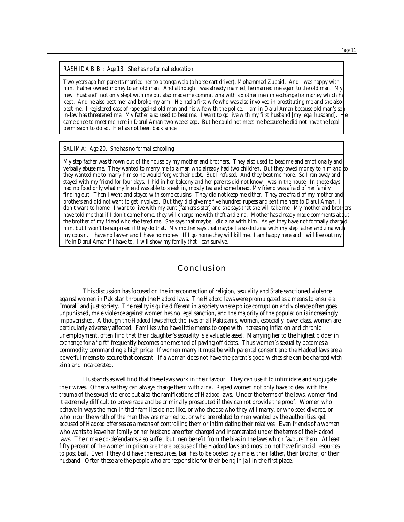#### *Page 11*

#### *RASHIDA BIBI: Age 18. She has no formal education*

Two years ago her parents married her to a tonga wala (a horse cart driver), Mohammad Zubaid. And I was happy with him. Father owned money to an old man. And although I was already married, he married me again to the old man. My new "husband" not only slept with me but also made me commit *zina* with six other men in exchange for money which he kept. And he also beat mer and broke my arm. He had a first wife who was also involved in prostituting me and she also beat me. I registered case of rape against old man and his wife with the police. I am in Darul Aman because old man's sonin-law has threatened me. My father also used to beat me. I want to go live with my first husband [my legal husband]. He came once to meet me here in Darul Aman two weeks ago. But he could not meet me because he did not have the legal permission to do so. He has not been back since.

#### *SALIMA: Age 20. She has no formal schooling*

My step father was thrown out of the house by my mother and brothers. They also used to beat me and emotionally and verbally abuse me. They wanted to marry me to a man who already had two children. But they owed money to him and to they wanted me to marry him so he would forgive their debt. But I refused. And they beat me more. So I ran away and stayed with my friend for four days. I hid in her balcony and her parents did not know I was in the house. In those days I had no food only what my friend was able to sneak in, mostly tea and some bread. My friend was afraid of her family finding out. Then I went and stayed with some cousins. They did not keep me either. They are afraid of my mother and brothers and did not want to get involved. But they did give me five hundred rupees and sent me here to Darul Aman. I don't want to home. I want to live with my aunt [fathers sister] and she says that she will take me. My mother and brothers have told me that if I don't come home, they will charge me with theft and *zina*. Mother has already made comments about the brother of my friend who sheltered me. She says that maybe I did *zina* with him. As yet they have not formally charged him, but I won't be surprised if they do that. My mother says that maybe I also did *zina* with my step father and *zina* with my cousin. I have no lawyer and I have no money. If I go home they will kill me. I am happy here and I will live out my life in Darul Aman if I have to. I will show my family that I can survive.

## Conclusion

This discussion has focused on the interconnection of religion, sexuality and State sanctioned violence against women in Pakistan through the *Hadood* laws. The *Hadood* laws were promulgated as a means to ensure a "moral" and just society. The reality is quite different in a society where police corruption and violence often goes unpunished, male violence against women has no legal sanction, and the majority of the population is increasingly impoverished. Although the *Hadood* laws affect the lives of all Pakistanis, women, especially lower class, women are particularly adversely affected. Families who have little means to cope with increasing inflation and chronic unemployment, often find that their daughter's sexuality is a valuable asset. Marrying her to the highest bidder in exchange for a "gift" frequently becomes one method of paying off debts. Thus women's sexuality becomes a commodity commanding a high price. If women marry it must be with parental consent and the *Hadood* laws are a powerful means to secure that consent. If a woman does not have the parent's good wishes she can be charged with *zina* and incarcerated.

Husbands as well find that these laws work in their favour. They can use it to intimidate and subjugate their wives. Otherwise they can always charge them with *zina*. Raped women not only have to deal with the trauma of the sexual violence but also the ramifications of *Hadood* laws. Under the terms of the laws, women find it extremely difficult to prove rape and be criminally prosecuted if they cannot provide the proof. Women who behave in ways the men in their families do not like, or who choose who they will marry, or who seek divorce, or who incur the wrath of the men they are married to, or who are related to men wanted by the authorities, get accused of *Hadood* offenses as a means of controlling them or intimidating their relatives. Even friends of a woman who wants to leave her family or her husband are often charged and incarcerated under the terms of the *Hadood* laws. Their male co-defendants also suffer, but men benefit from the bias in the laws which favours them. At least fifty percent of the women in prison are there because of the *Hadood* laws and most do not have financial resources to post bail. Even if they did have the resources, bail has to be posted by a male, their father, their brother, or their husband. Often these are the people who are responsible for their being in jail in the first place.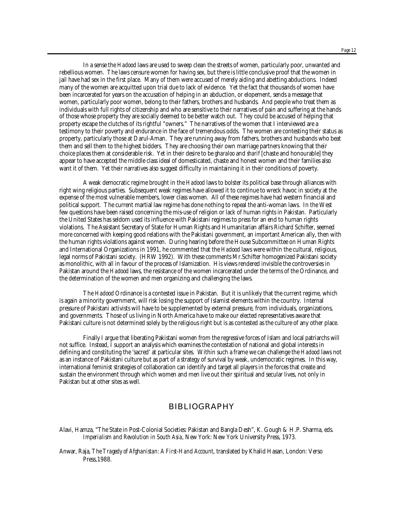In a sense the *Hadood* laws are used to sweep clean the streets of women, particularly poor, unwanted and rebellious women. The laws censure women for having sex, but there is little conclusive proof that the women in jail have had sex in the first place. Many of them were accused of merely aiding and abetting abductions. Indeed many of the women are acquitted upon trial due to lack of evidence. Yet the fact that thousands of women have been incarcerated for years on the accusation of helping in an abduction, or elopement, sends a message that women, particularly poor women, belong to their fathers, brothers and husbands. And people who treat them as individuals with full rights of citizenship and who are sensitive to their narratives of pain and suffering at the hands of those whose property they are socially deemed to be better watch out. They could be accused of helping that property escape the clutches of its rightful "owners." The narratives of the women that I interviewed are a testimony to their poverty and endurance in the face of tremendous odds. The women are contesting their status as property, particularly those at Darul-Aman. They are running away from fathers, brothers and husbands who beat them and sell them to the highest bidders. They are choosing their own marriage partners knowing that their choice places them at considerable risk. Yet in their desire to be *gharaloo* and *sharif* [chaste and honourable] they appear to have accepted the middle class ideal of domesticated, chaste and honest women and their families also want it of them. Yet their narratives also suggest difficulty in maintaining it in their conditions of poverty.

A weak democratic regime brought in the *Hadood* laws to bolster its political base through alliances with right wing religious parties. Subsequent weak regimes have allowed it to continue to wreck havoc in society at the expense of the most vulnerable members, lower class women. All of these regimes have had western financial and political support. The current martial law regime has done nothing to repeal the anti-woman laws. In the West few questions have been raised concerning the mis-use of religion or lack of human rights in Pakistan. Particularly the United States has seldom used its influence with Pakistani regimes to press for an end to human rights violations. The Assistant Secretary of State for Human Rights and Humanitarian affairs Richard Schifter, seemed more concerned with keeping good relations with the Pakistani government, an important American ally, then with the human rights violations against women. During hearing before the House Subcommittee on Human Rights and International Organizations in 1991, he commented that the *Hadood* laws were within the cultural, religious, legal norms of Pakistani society. (HRW 1992). With these comments Mr.Schifter homogenized Pakistani society as monolithic, with all in favour of the process of Islamization. His views rendered invisible the controversies in Pakistan around the *Hadood* laws, the resistance of the women incarcerated under the terms of the Ordinance, and the determination of the women and men organizing and challenging the laws.

The *Hadood* Ordinance is a contested issue in Pakistan. But it is unlikely that the current regime, which is again a minority government, will risk losing the support of Islamist elements within the country. Internal pressure of Pakistani activists will have to be supplemented by external pressure, from individuals, organizations, and governments. Those of us living in North America have to make our elected representatives aware that Pakistani culture is not determined solely by the religious right but is as contested as the culture of any other place.

Finally I argue that liberating Pakistani women from the regressive forces of Islam and local patriarchs will not suffice. Instead, I support an analysis which examines the contestation of national and global interests in defining and constituting the 'sacred' at particular sites. Within such a frame we can challenge the *Hadood* laws not as an instance of Pakistani culture but as part of a strategy of survival by weak, undemocratic regimes. In this way, international feminist strategies of collaboration can identify and target all players in the forces that create and sustain the environment through which women and men live out their spiritual and secular lives, not only in Pakistan but at other sites as well.

### BIBLIOGRAPHY

Alavi, Hamza, "The State in Post-Colonial Societies: Pakistan and Bangla Desh", K. Gough & H.P. Sharma, eds. *Imperialism and Revolution in South Asia*, New York: New York University Press, 1973.

Anwar, Raja, *The Tragedy of Afghanistan: A First-Hand Account*, translated by Khalid Hasan, London: Verso Press,1988.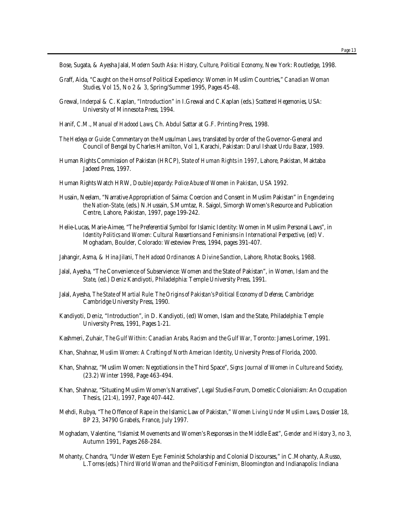Bose, Sugata, & Ayesha Jalal, *Modern South Asia: History, Culture, Political Economy*, New York: Routledge, 1998.

- Graff, Aida, "Caught on the Horns of Political Expediency: Women in Muslim Countries," *Canadian Woman Studies,* Vol 15, No 2 & 3, Spring/Summer 1995, Pages 45-48.
- Grewal, Inderpal & C. Kaplan, "Introduction" in I.Grewal and C.Kaplan (eds.) *Scattered Hegemonies*, USA: University of Minnesota Press, 1994.
- Hanif, C.M., *Manual of Hadood Laws*, Ch. Abdul Sattar at G.F. Printing Press, 1998.
- *The Hedeya or Guide: Commentary on the Mussulman Laws*, translated by order of the Governor-General and Council of Bengal by Charles Hamilton, Vol 1, Karachi, Pakistan: Darul Ishaat Urdu Bazar, 1989.
- Human Rights Commission of Pakistan (HRCP), *State of Human Rights in 1997*, Lahore, Pakistan, Maktaba Jadeed Press, 1997.
- Human Rights Watch HRW, *Double Jeopardy: Police Abuse of Women in Pakistan*, USA 1992.
- Husain, Neelam, "Narrative Appropriation of Saima: Coercion and Consent in Muslim Pakistan" in *Engendering the Nation-State*, (eds.) N.Hussain, S.Mumtaz, R. Saigol, Simorgh Women's Resource and Publication Centre, Lahore, Pakistan, 1997, page 199-242.
- Helie-Lucas, Marie-Aimee, "The Preferential Symbol for Islamic Identity: Women in Muslim Personal Laws", in *Identity Politics and Women: Cultural Reasertions and Feminisms in International Perspective*, (ed) V. Moghadam, Boulder, Colorado: Westeview Press, 1994, pages 391-407.
- Jahangir, Asma, & Hina Jilani, *The Hadood Ordinances: A Divine Sanction*, Lahore, Rhotac Books, 1988.
- Jalal, Ayesha, "The Convenience of Subservience: Women and the State of Pakistan", in *Women, Islam and the State*, (ed.) Deniz Kandiyoti, Philadelphia: Temple University Press, 1991.
- Jalal, Ayesha, *The State of Martial Rule: The Origins of Pakistan's Political Economy of Defense*, Cambridge: Cambridge University Press, 1990.
- Kandiyoti, Deniz, "Introduction", in D. Kandiyoti, (ed) Women, Islam and the State, Philadelphia: Temple University Press, 1991, Pages 1-21.
- Kashmeri, Zuhair, *The Gulf Within: Canadian Arabs, Racism and the Gulf War*, Toronto: James Lorimer, 1991.
- Khan, Shahnaz, *Muslim Women: A Crafting of North American Identity*, University Press of Florida, 2000.
- Khan, Shahnaz, "Muslim Women: Negotiations in the Third Space", *Signs: Journal of Women in Culture and Society*, (23.2) Winter 1998, Page 463-494.
- Khan, Shahnaz, "Situating Muslim Women's Narratives", *Legal Studies Forum*, Domestic Colonialism: An Occupation Thesis, (21:4), 1997, Page 407-442.
- Mehdi, Rubya, "The Offence of Rape in the Islamic Law of Pakistan," *Women Living Under Muslim Laws*, Dossier 18, BP 23, 34790 Grabels, France, July 1997.
- Moghadam, Valentine, "Islamist Movements and Women's Responses in the Middle East", *Gender and History* 3, no 3, Autumn 1991, Pages 268-284.
- Mohanty, Chandra, "Under Western Eye: Feminist Scholarship and Colonial Discourses," in C.Mohanty, A.Russo, L.Torres (eds.) *Third World Woman and the Politics of Feminism*, Bloomington and Indianapolis: Indiana